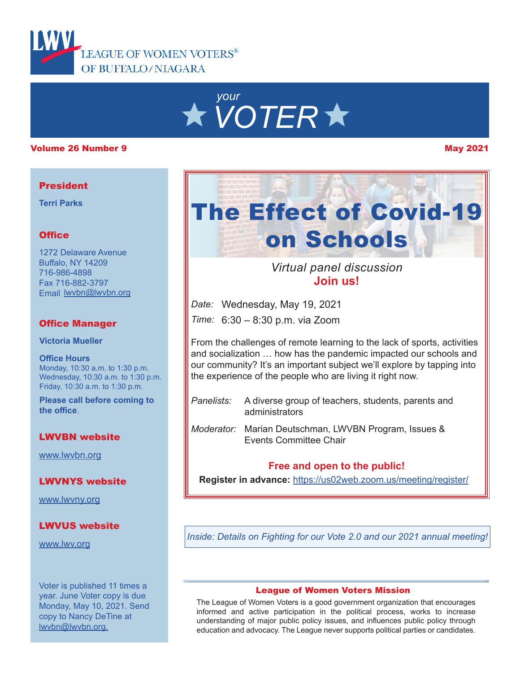

# *your VOTER*

#### Volume 26 Number 9 May 2021

#### **President**

**Terri Parks**

# **Office**

1272 Delaware Avenue Buffalo, NY 14209 716-986-4898 Fax 716-882-3797 Email lwvbn@lwvbn.org

# Office Manager

**Victoria Mueller**

**Office Hours** Monday, 10:30 a.m. to 1:30 p.m. Wednesday, 10:30 a.m. to 1:30 p.m. Friday, 10:30 a.m. to 1:30 p.m.

**Please call before coming to the office**.

# LWVBN website

[www.lwvbn.org](https://www.lwvbn.org/)

# LWVNYS website

[www.lwvny.org](https://www.lwvny.org/)

# LWVUS website

[www.lwv.org](https://www.lwv.org/)

Voter is published 11 times a year. June Voter copy is due Monday, May 10, 2021. Send copy to Nancy DeTine at lwvbn@lwvbn.org.



**Join us!** *Virtual panel discussion*

*Date:* Wednesday, May 19, 2021

*Time:* 6:30 – 8:30 p.m. via Zoom

From the challenges of remote learning to the lack of sports, activities and socialization … how has the pandemic impacted our schools and our community? It's an important subject we'll explore by tapping into the experience of the people who are living it right now.

- *Panelists:* A diverse group of teachers, students, parents and administrators
- *Moderator:* Marian Deutschman, LWVBN Program, Issues & Events Committee Chair

# **Free and open to the public!**

**Register in advance:** [https://us02web.zoom.us/meeting/register/](https://us02web.zoom.us/meeting/register/tZcocO-vrjssEtUhDgymmXrV6IhQBufGmbTD)

*Inside: Details on Fighting for our Vote 2.0 and our 2021 annual meeting!*

#### League of Women Voters Mission

The League of Women Voters is a good government organization that encourages informed and active participation in the political process, works to increase understanding of major public policy issues, and influences public policy through education and advocacy. The League never supports political parties or candidates.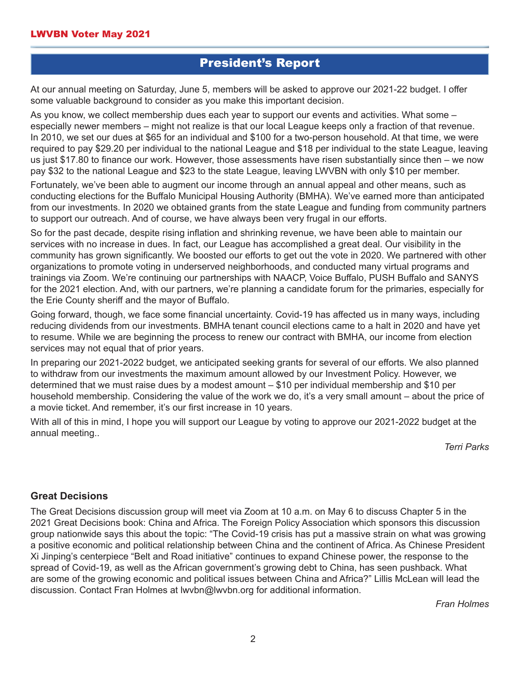# President's Report

At our annual meeting on Saturday, June 5, members will be asked to approve our 2021-22 budget. I offer some valuable background to consider as you make this important decision.

As you know, we collect membership dues each year to support our events and activities. What some – especially newer members – might not realize is that our local League keeps only a fraction of that revenue. In 2010, we set our dues at \$65 for an individual and \$100 for a two-person household. At that time, we were required to pay \$29.20 per individual to the national League and \$18 per individual to the state League, leaving us just \$17.80 to finance our work. However, those assessments have risen substantially since then – we now pay \$32 to the national League and \$23 to the state League, leaving LWVBN with only \$10 per member.

Fortunately, we've been able to augment our income through an annual appeal and other means, such as conducting elections for the Buffalo Municipal Housing Authority (BMHA). We've earned more than anticipated from our investments. In 2020 we obtained grants from the state League and funding from community partners to support our outreach. And of course, we have always been very frugal in our efforts.

So for the past decade, despite rising inflation and shrinking revenue, we have been able to maintain our services with no increase in dues. In fact, our League has accomplished a great deal. Our visibility in the community has grown significantly. We boosted our efforts to get out the vote in 2020. We partnered with other organizations to promote voting in underserved neighborhoods, and conducted many virtual programs and trainings via Zoom. We're continuing our partnerships with NAACP, Voice Buffalo, PUSH Buffalo and SANYS for the 2021 election. And, with our partners, we're planning a candidate forum for the primaries, especially for the Erie County sheriff and the mayor of Buffalo.

Going forward, though, we face some financial uncertainty. Covid-19 has affected us in many ways, including reducing dividends from our investments. BMHA tenant council elections came to a halt in 2020 and have yet to resume. While we are beginning the process to renew our contract with BMHA, our income from election services may not equal that of prior years.

In preparing our 2021-2022 budget, we anticipated seeking grants for several of our efforts. We also planned to withdraw from our investments the maximum amount allowed by our Investment Policy. However, we determined that we must raise dues by a modest amount – \$10 per individual membership and \$10 per household membership. Considering the value of the work we do, it's a very small amount – about the price of a movie ticket. And remember, it's our first increase in 10 years.

With all of this in mind, I hope you will support our League by voting to approve our 2021-2022 budget at the annual meeting..

*Terri Parks*

# **Great Decisions**

The Great Decisions discussion group will meet via Zoom at 10 a.m. on May 6 to discuss Chapter 5 in the 2021 Great Decisions book: China and Africa. The Foreign Policy Association which sponsors this discussion group nationwide says this about the topic: "The Covid-19 crisis has put a massive strain on what was growing a positive economic and political relationship between China and the continent of Africa. As Chinese President Xi Jinping's centerpiece "Belt and Road initiative" continues to expand Chinese power, the response to the spread of Covid-19, as well as the African government's growing debt to China, has seen pushback. What are some of the growing economic and political issues between China and Africa?" Lillis McLean will lead the discussion. Contact Fran Holmes at lwvbn@lwvbn.org for additional information.

*Fran Holmes*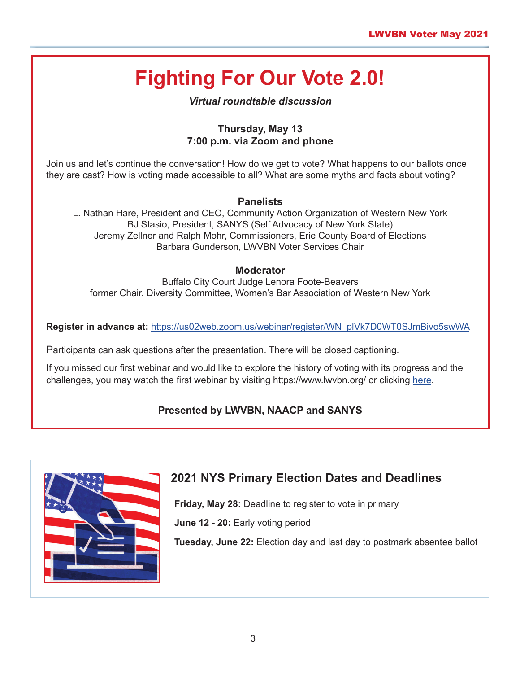# **Fighting For Our Vote 2.0!**

# *Virtual roundtable discussion*

# **Thursday, May 13 7:00 p.m. via Zoom and phone**

Join us and let's continue the conversation! How do we get to vote? What happens to our ballots once they are cast? How is voting made accessible to all? What are some myths and facts about voting?

# **Panelists**

L. Nathan Hare, President and CEO, Community Action Organization of Western New York BJ Stasio, President, SANYS (Self Advocacy of New York State) Jeremy Zellner and Ralph Mohr, Commissioners, Erie County Board of Elections Barbara Gunderson, LWVBN Voter Services Chair

### **Moderator**

Buffalo City Court Judge Lenora Foote-Beavers former Chair, Diversity Committee, Women's Bar Association of Western New York

**Register in advance at:** [https://us02web.zoom.us/webinar/register/WN\\_plVk7D0WT0SJmBivo5swWA](https://us02web.zoom.us/webinar/register/WN_plVk7D0WT0SJmBivo5swWA)

Participants can ask questions after the presentation. There will be closed captioning.

If you missed our first webinar and would like to explore the history of voting with its progress and the challenges, you may watch the first webinar by visiting https://www.lwvbn.org/ or clicking [here](https://us02web.zoom.us/rec/play/GviLfhj8YvC62aFwfpL86Ewg3ghCglWlv9COMeq4FNIH5N7iJH9eMcPUo5y5CKlW1liqhLvTQBt3LpZQ.GXZBWL_04nPJh-Q7?continueMode=true&_x_zm_rtaid=RvFL-R6LRSSW3HFFfX_CUg.1619389212560.13d7c7c4afb05450959a8e1ba725e795&_x_zm_rhtaid=681).

# **Presented by LWVBN, NAACP and SANYS**



# **2021 NYS Primary Election Dates and Deadlines**

**Friday, May 28:** Deadline to register to vote in primary

**June 12 - 20:** Early voting period

**Tuesday, June 22:** Election day and last day to postmark absentee ballot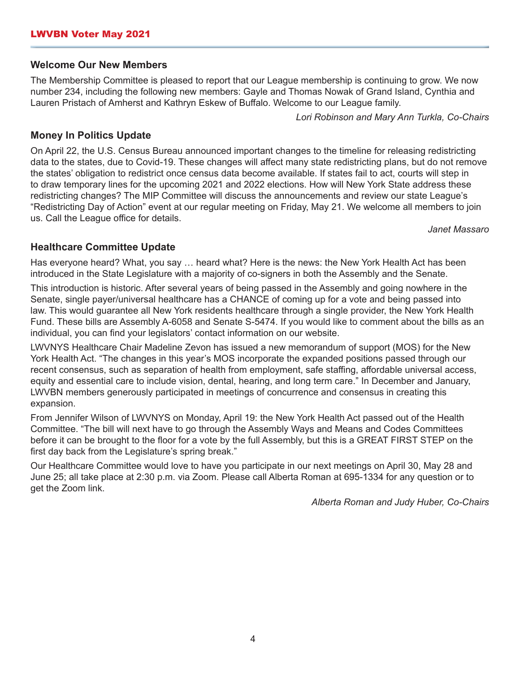#### **Welcome Our New Members**

The Membership Committee is pleased to report that our League membership is continuing to grow. We now number 234, including the following new members: Gayle and Thomas Nowak of Grand Island, Cynthia and Lauren Pristach of Amherst and Kathryn Eskew of Buffalo. Welcome to our League family.

*Lori Robinson and Mary Ann Turkla, Co-Chairs*

### **Money In Politics Update**

On April 22, the U.S. Census Bureau announced important changes to the timeline for releasing redistricting data to the states, due to Covid-19. These changes will affect many state redistricting plans, but do not remove the states' obligation to redistrict once census data become available. If states fail to act, courts will step in to draw temporary lines for the upcoming 2021 and 2022 elections. How will New York State address these redistricting changes? The MIP Committee will discuss the announcements and review our state League's "Redistricting Day of Action" event at our regular meeting on Friday, May 21. We welcome all members to join us. Call the League office for details.

*Janet Massaro*

### **Healthcare Committee Update**

Has everyone heard? What, you say … heard what? Here is the news: the New York Health Act has been introduced in the State Legislature with a majority of co-signers in both the Assembly and the Senate.

This introduction is historic. After several years of being passed in the Assembly and going nowhere in the Senate, single payer/universal healthcare has a CHANCE of coming up for a vote and being passed into law. This would guarantee all New York residents healthcare through a single provider, the New York Health Fund. These bills are Assembly A-6058 and Senate S-5474. If you would like to comment about the bills as an individual, you can find your legislators' contact information on our website.

LWVNYS Healthcare Chair Madeline Zevon has issued a new memorandum of support (MOS) for the New York Health Act. "The changes in this year's MOS incorporate the expanded positions passed through our recent consensus, such as separation of health from employment, safe staffing, affordable universal access, equity and essential care to include vision, dental, hearing, and long term care." In December and January, LWVBN members generously participated in meetings of concurrence and consensus in creating this expansion.

From Jennifer Wilson of LWVNYS on Monday, April 19: the New York Health Act passed out of the Health Committee. "The bill will next have to go through the Assembly Ways and Means and Codes Committees before it can be brought to the floor for a vote by the full Assembly, but this is a GREAT FIRST STEP on the first day back from the Legislature's spring break."

Our Healthcare Committee would love to have you participate in our next meetings on April 30, May 28 and June 25; all take place at 2:30 p.m. via Zoom. Please call Alberta Roman at 695-1334 for any question or to get the Zoom link.

*Alberta Roman and Judy Huber, Co-Chairs*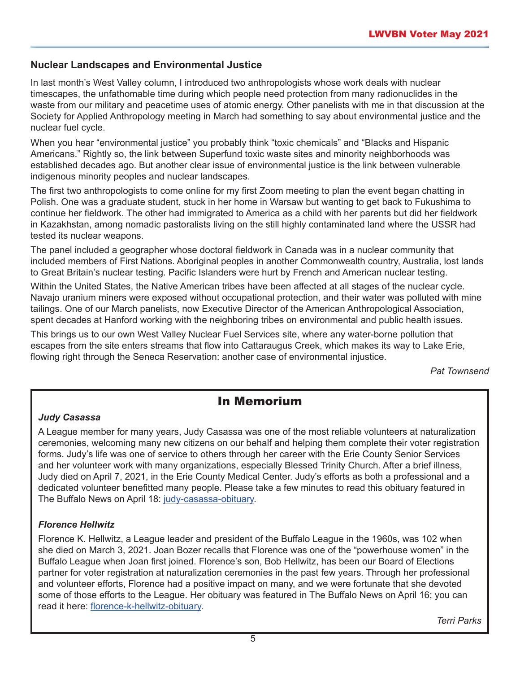# **Nuclear Landscapes and Environmental Justice**

In last month's West Valley column, I introduced two anthropologists whose work deals with nuclear timescapes, the unfathomable time during which people need protection from many radionuclides in the waste from our military and peacetime uses of atomic energy. Other panelists with me in that discussion at the Society for Applied Anthropology meeting in March had something to say about environmental justice and the nuclear fuel cycle.

When you hear "environmental justice" you probably think "toxic chemicals" and "Blacks and Hispanic Americans." Rightly so, the link between Superfund toxic waste sites and minority neighborhoods was established decades ago. But another clear issue of environmental justice is the link between vulnerable indigenous minority peoples and nuclear landscapes.

The first two anthropologists to come online for my first Zoom meeting to plan the event began chatting in Polish. One was a graduate student, stuck in her home in Warsaw but wanting to get back to Fukushima to continue her fieldwork. The other had immigrated to America as a child with her parents but did her fieldwork in Kazakhstan, among nomadic pastoralists living on the still highly contaminated land where the USSR had tested its nuclear weapons.

The panel included a geographer whose doctoral fieldwork in Canada was in a nuclear community that included members of First Nations. Aboriginal peoples in another Commonwealth country, Australia, lost lands to Great Britain's nuclear testing. Pacific Islanders were hurt by French and American nuclear testing.

Within the United States, the Native American tribes have been affected at all stages of the nuclear cycle. Navajo uranium miners were exposed without occupational protection, and their water was polluted with mine tailings. One of our March panelists, now Executive Director of the American Anthropological Association, spent decades at Hanford working with the neighboring tribes on environmental and public health issues.

This brings us to our own West Valley Nuclear Fuel Services site, where any water-borne pollution that escapes from the site enters streams that flow into Cattaraugus Creek, which makes its way to Lake Erie, flowing right through the Seneca Reservation: another case of environmental injustice.

*Pat Townsend*

# In Memorium

# *Judy Casassa*

A League member for many years, Judy Casassa was one of the most reliable volunteers at naturalization ceremonies, welcoming many new citizens on our behalf and helping them complete their voter registration forms. Judy's life was one of service to others through her career with the Erie County Senior Services and her volunteer work with many organizations, especially Blessed Trinity Church. After a brief illness, Judy died on April 7, 2021, in the Erie County Medical Center. Judy's efforts as both a professional and a dedicated volunteer benefitted many people. Please take a few minutes to read this obituary featured in The Buffalo News on April 18: [judy-casassa-obituary.](https://buffalonews.com/obituaries/features/judy-casassa-80-attracted-grants-to-enhance-erie-county-senior-services-and-blessed-trinity-catholic/article_7e256c28-a0b2-11eb-94ef-a738ac3c265b.html)

# *Florence Hellwitz*

Florence K. Hellwitz, a League leader and president of the Buffalo League in the 1960s, was 102 when she died on March 3, 2021. Joan Bozer recalls that Florence was one of the "powerhouse women" in the Buffalo League when Joan first joined. Florence's son, Bob Hellwitz, has been our Board of Elections partner for voter registration at naturalization ceremonies in the past few years. Through her professional and volunteer efforts, Florence had a positive impact on many, and we were fortunate that she devoted some of those efforts to the League. Her obituary was featured in The Buffalo News on April 16; you can read it here: fl[orence-k-hellwitz-obituary.](https://buffalonews.com/obituaries/features/florence-k-hellwitz-102-dedicated-life-and-work-to-social-justice/article_1e538a36-9bb3-11eb-8b4a-8fe72100e5d8.html)

*Terri Parks*